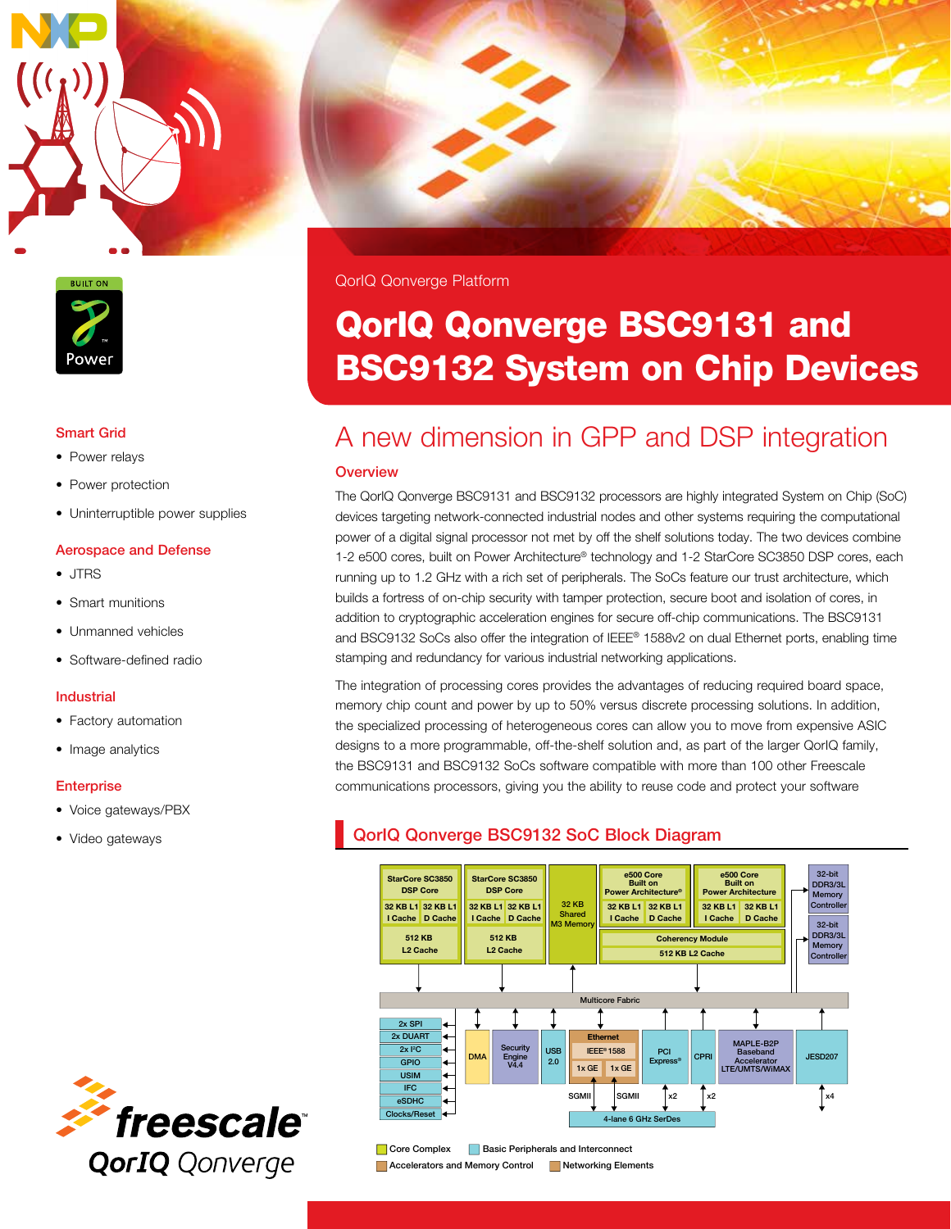



#### Smart Grid

- Power relays
- Power protection
- Uninterruptible power supplies

#### Aerospace and Defense

- JTRS
- Smart munitions
- Unmanned vehicles
- Software-defined radio

#### Industrial

- Factory automation
- Image analytics

#### **Enterprise**

- Voice gateways/PBX
- 

QorIQ Qonverge Platform

# QorIQ Qonverge BSC9131 and BSC9132 System on Chip Devices

# A new dimension in GPP and DSP integration

#### **Overview**

The QorIQ Qonverge BSC9131 and BSC9132 processors are highly integrated System on Chip (SoC) devices targeting network-connected industrial nodes and other systems requiring the computational power of a digital signal processor not met by off the shelf solutions today. The two devices combine 1-2 e500 cores, built on Power Architecture® technology and 1-2 StarCore SC3850 DSP cores, each running up to 1.2 GHz with a rich set of peripherals. The SoCs feature our trust architecture, which builds a fortress of on-chip security with tamper protection, secure boot and isolation of cores, in addition to cryptographic acceleration engines for secure off-chip communications. The BSC9131 and BSC9132 SoCs also offer the integration of IEEE® 1588v2 on dual Ethernet ports, enabling time stamping and redundancy for various industrial networking applications.

The integration of processing cores provides the advantages of reducing required board space, memory chip count and power by up to 50% versus discrete processing solutions. In addition, the specialized processing of heterogeneous cores can allow you to move from expensive ASIC designs to a more programmable, off-the-shelf solution and, as part of the larger QorIQ family, the BSC9131 and BSC9132 SoCs software compatible with more than 100 other Freescale communications processors, giving you the ability to reuse code and protect your software

## • Video gateways **QorIQ Qonverge BSC9132 SoC Block Diagram**





**Core Complex Basic Peripherals and Interconnect Accelerators and Memory Control Control Accelerators and Memory Control Control Networking Elements**